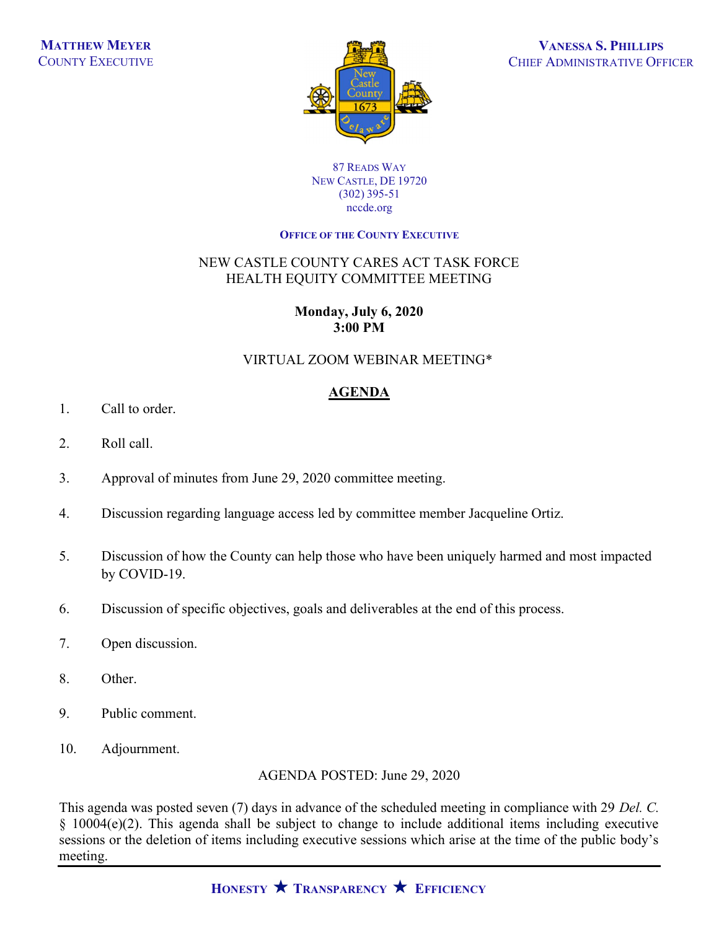

#### 87 READS WAY NEW CASTLE, DE 19720 (302) 395-51 nccde.org

#### OFFICE OF THE COUNTY EXECUTIVE

## NEW CASTLE COUNTY CARES ACT TASK FORCE HEALTH EQUITY COMMITTEE MEETING

# Monday, July 6, 2020 3:00 PM

## VIRTUAL ZOOM WEBINAR MEETING\*

# AGENDA

- 1. Call to order.
- 2. Roll call.
- 3. Approval of minutes from June 29, 2020 committee meeting.
- 4. Discussion regarding language access led by committee member Jacqueline Ortiz.
- 5. Discussion of how the County can help those who have been uniquely harmed and most impacted by COVID-19.
- 6. Discussion of specific objectives, goals and deliverables at the end of this process.
- 7. Open discussion.
- 8. Other.
- 9. Public comment.
- 10. Adjournment.

AGENDA POSTED: June 29, 2020

This agenda was posted seven (7) days in advance of the scheduled meeting in compliance with 29 Del. C. § 10004(e)(2). This agenda shall be subject to change to include additional items including executive sessions or the deletion of items including executive sessions which arise at the time of the public body's meeting.

HONESTY  $\bigstar$  Transparency  $\bigstar$  Efficiency